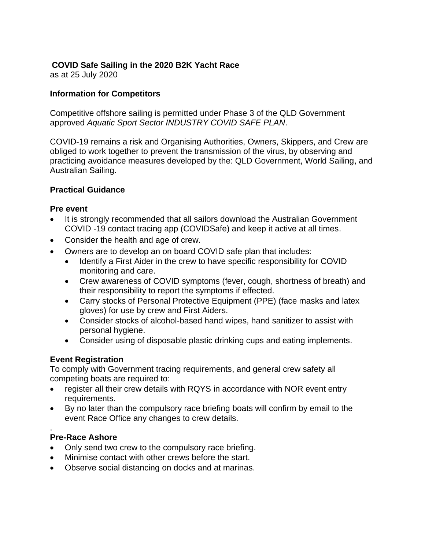## **COVID Safe Sailing in the 2020 B2K Yacht Race**

as at 25 July 2020

## **Information for Competitors**

Competitive offshore sailing is permitted under Phase 3 of the QLD Government approved *Aquatic Sport Sector INDUSTRY COVID SAFE PLAN*.

COVID-19 remains a risk and Organising Authorities, Owners, Skippers, and Crew are obliged to work together to prevent the transmission of the virus, by observing and practicing avoidance measures developed by the: QLD Government, World Sailing, and Australian Sailing.

## **Practical Guidance**

### **Pre event**

- It is strongly recommended that all sailors download the Australian Government COVID -19 contact tracing app (COVIDSafe) and keep it active at all times.
- Consider the health and age of crew.
- Owners are to develop an on board COVID safe plan that includes:
	- Identify a First Aider in the crew to have specific responsibility for COVID monitoring and care.
	- Crew awareness of COVID symptoms (fever, cough, shortness of breath) and their responsibility to report the symptoms if effected.
	- Carry stocks of Personal Protective Equipment (PPE) (face masks and latex gloves) for use by crew and First Aiders.
	- Consider stocks of alcohol-based hand wipes, hand sanitizer to assist with personal hygiene.
	- Consider using of disposable plastic drinking cups and eating implements.

# **Event Registration**

To comply with Government tracing requirements, and general crew safety all competing boats are required to:

- register all their crew details with RQYS in accordance with NOR event entry requirements.
- By no later than the compulsory race briefing boats will confirm by email to the event Race Office any changes to crew details.

#### . **Pre-Race Ashore**

- Only send two crew to the compulsory race briefing.
- Minimise contact with other crews before the start.
- Observe social distancing on docks and at marinas.